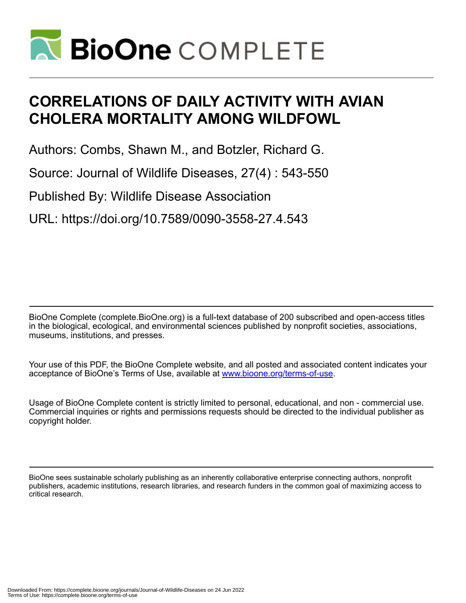

# **CORRELATIONS OF DAILY ACTIVITY WITH AVIAN CHOLERA MORTALITY AMONG WILDFOWL**

Authors: Combs, Shawn M., and Botzler, Richard G.

Source: Journal of Wildlife Diseases, 27(4) : 543-550

Published By: Wildlife Disease Association

URL: https://doi.org/10.7589/0090-3558-27.4.543

BioOne Complete (complete.BioOne.org) is a full-text database of 200 subscribed and open-access titles in the biological, ecological, and environmental sciences published by nonprofit societies, associations, museums, institutions, and presses.

Your use of this PDF, the BioOne Complete website, and all posted and associated content indicates your acceptance of BioOne's Terms of Use, available at www.bioone.org/terms-of-use.

Usage of BioOne Complete content is strictly limited to personal, educational, and non - commercial use. Commercial inquiries or rights and permissions requests should be directed to the individual publisher as copyright holder.

BioOne sees sustainable scholarly publishing as an inherently collaborative enterprise connecting authors, nonprofit publishers, academic institutions, research libraries, and research funders in the common goal of maximizing access to critical research.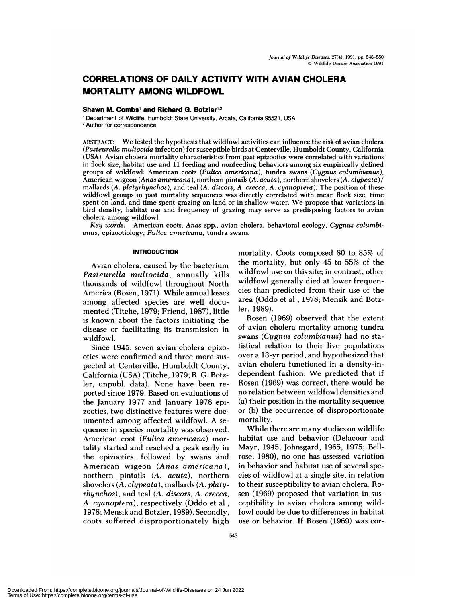# **CORRELATIONS OF DAILY ACTIVITY WITH AVIAN CHOLERA MORTALITY AMONG WILDFOWL**

## $Shawn$  **M.** Combs<sup>1</sup> and Richard G. Botzler<sup>1,2</sup>

'Department of Wildlife, Humboldt State University, Arcata, California 95521, USA <sup>2</sup> Author for correspondence

ABSTRACT: We tested the hypothesis that wildfowl activities can influence the risk of avian cholera *(Pasteurella multocida* infection) for susceptible birds at Centerville, Humboldt County, California (USA). Avian cholera mortality characteristics from past epizootics were correlated with variations in flock size, habitat use and 11 feeding and nonfeeding behaviors among six empirically defined groups of wildfowl: American coots *(Fulica americana),* tundra swans *(Cygnus columbianus),* American wigeon *(Anas americana),* northern pintails *(A. acuta),* northern shovelers *(A. clypeata)/* mallards *(A. platyrhynchos),* and teal *(A. discors, A. crecca, A. cyanoptera).* The position of these wildfowl groups in past mortality sequences was directly correlated with mean flock size, time spent on land, and time spent grazing on land or in shallow water. We propose that variations in bird density, habitat use and frequency of grazing may serve as predisposing factors to avian cholera among wildfowl.

*Key words:* American coots, *Anas* spp., avian cholera, behavioral ecology, *Cygnus columbianus,* epizootiology, *Fulica americana,* tundra swans.

# **INTRODUCTION**

Avian cholera, caused by the bacterium *Pasteurella multocida,* annually kills thousands of wildfowl throughout North America (Rosen, 1971). While annual losses among affected species are well documented (Titche, 1979; Friend, 1987), little is known about the factors initiating the disease or facilitating its transmission in wildfowl.

Since 1945, seven avian cholera epizootics were confirmed and three more sus pected at Centerville, Humboldt County, California (USA) (Titche, 1979; R. G. Botzler, unpubl. data). None have been re ported since 1979. Based on evaluations of the January 1977 and January 1978 epizootics, two distinctive features were documented among affected wildfowl. A se quence in species mortality was observed. American coot *(Fulica americana)* mortality started and reached a peak early in the epizootics, followed by swans and American wigeon *(Anas americana),* northern pintails *(A. acuta),* northern shovelers *(A. clypeata),* mallards *(A. platyrhynchos),* and teal *(A. discors, A. crecca, A. cyanoptera),* respectively (Oddo et a!., 1978; Mensik and Botzler, 1989). Secondly, coots suffered disproportionately high mortality. Coots composed 80 to 85% of the mortality, but only 45 to 55% of the wildfowl use on this site; in contrast, other wildfowl generally died at lower frequencies than predicted from their use of the area (Oddo et a!., 1978; Mensik and Botzler, 1989).

Rosen (1969) observed that the extent of avian cholera mortality among tundra swans *(Cygnus columbianus)* had no statistical relation to their live populations over a 13-yr period, and hypothesized that avian cholera functioned in a density-independent fashion. We predicted that if Rosen (1969) was correct, there would be no relation between wildfowl densities and (a) their position in the mortality sequence or (b) the occurrence of disproportionate mortality.

While there are many studies on wildlife habitat use and behavior (Delacour and Mayr, 1945; Johnsgard, 1965, 1975; Bellrose, 1980), no one has assessed variation in behavior and habitat use of several species of wildfowl at a single site, in relation to their susceptibility to avian cholera. Ro sen (1969) proposed that variation in sus ceptibility to avian cholera among wildfowl could be due to differences in habitat use or behavior. If Rosen (1969) was cor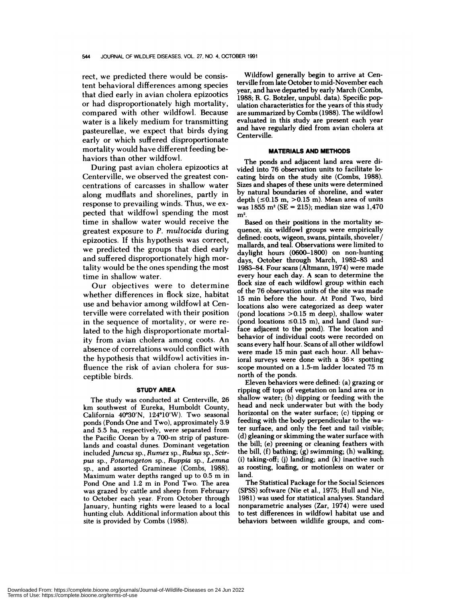rect, we predicted there would be consistent behavioral differences among species that died early in avian cholera epizootics or had disproportionately high mortality, compared with other wildfowl. Because water is a likely medium for transmitting pasteurellae, we expect that birds dying early or which suffered disproportionate mortality would have different feeding behaviors than other wildfowl.

During past avian cholera epizootics at Centerville, we observed the greatest concentrations of carcasses in shallow water along mudflats and shorelines, partly in response to prevailing winds. Thus, we ex pected that wildfowl spending the most time in shallow water would receive the greatest exposure to *P. multocida* during epizootics. If this hypothesis was correct, we predicted the groups that died early and suffered disproportionately high mortality would be the ones spending the most time in shallow water.

Our objectives were to determine whether differences in flock size, habitat use and behavior among wildfowl at Centerville were correlated with their position in the sequence of mortality, or were related to the high disproportionate mortality from avian cholera among coots. An absence of correlations would conflict with the hypothesis that wildfowl activities influence the risk of avian cholera for sus ceptible birds.

#### **STUDY AREA**

The study was conducted at Centerville, 26 km southwest of Eureka, Humboldt County, California 40°30'N, 124°10'W). Two seasonal ponds (Ponds One and Two), approximately 3.9 and 5.5 ha, respectively, were separated from the Pacific Ocean by a 700-m strip of pasturelands and coastal dunes. Dominant vegetation included *Juncus* sp., *Rumex* sp., *Rubus* sp., *Scirpus* sp., *Potamogeton* sp., *Ruppia* sp., *Lemna* sp., and assorted Gramineae (Combs, 1988). Maximum water depths ranged up to 0.5 m in Pond One and 1.2 m in Pond Two. The area was grazed by cattle and sheep from February to October each year. From October through January, hunting rights were leased to a local hunting club. Additional information about this site is provided by Combs (1988).

Wildfowl generally begin to arrive at Centerville from late October to mid-November each year, and have departed by early March (Combs, 1988; R. C. Botzler, unpubl. data). Specific population characteristics for the years of this study are summarized by Combs (1988). The wildfowl evaluated in this study are present each year and have regularly died from avian cholera at Centerville.

### **MATERIALS AND METHODS**

The ponds and adjacent land area were divided into 76 observation units to facilitate locating birds on the study site (Combs, 1988). Sizes and shapes of these units were determined by natural boundaries of shoreline, and water depth  $(\leq 0.15 \text{ m}, >0.15 \text{ m})$ . Mean area of units was 1855 m2 (SE **=** 215); median size was 1,470  $m<sup>2</sup>$ .

Based on their positions in the mortality se quence, six wildfowl groups were empirically defined: coots, wigeon, swans, pintails, shoveler/ mallards, and teal. Observations were limited to daylight hours (0600-1800) on non-hunting days, October through March, 1982-83 and 1983-84. Four scans (Altmann, 1974) were made every hour each day. A scan to determine the flock size of each wildfowl group within each of the 76 observation units of the site was made 15 min before the hour. At Pond Two, bird locations also were categorized as deep water (pond locations >0.15 m deep), shallow water (pond locations  $\leq 0.15$  m), and land (land surface adjacent to the pond). The location and behavior of individual coots were recorded on scans every half hour. Scans of all other wildfowl were made 15 min past each hour. All behavioral surveys were done with a  $36 \times$  spotting scope mounted on a 1.5-m ladder located 75 m north of the ponds.

Eleven behaviors were defined: (a) grazing or ripping off tops of vegetation on land area or in shallow water; (b) dipping or feeding with the head and neck underwater but with the body horizontal on the water surface; (c) tipping or feeding with the body perpendicular to the water surface, and only the feet and tail visible; (d) gleaning or skimming the water surface with the bill; (e) preening or cleaning feathers with the bill, (f) bathing; (g) swimming; (h) walking; (i) taking-off; (j) landing; and (k) inactive such as roosting, loafing, or motionless on water or land.

The Statistical Package for the Social Sciences (SPSS) software (Nie et al., 1975; Hull and Nie, 1981) was used for statistical analyses. Standard nonparametric analyses (Zar, 1974) were used to test differences in wildfowl habitat use and behaviors between wildlife groups, and com-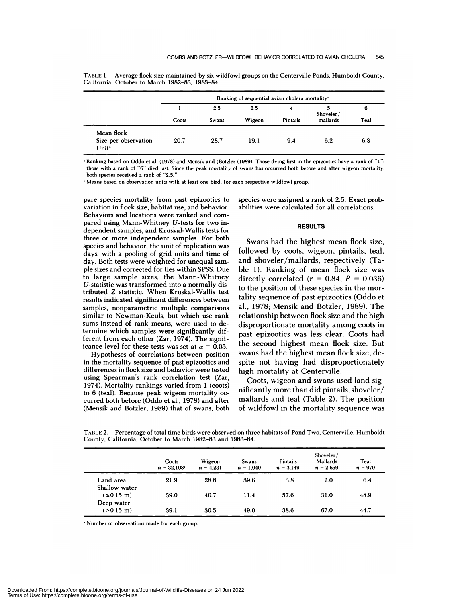|                                                         |       |       | Ranking of sequential avian cholera mortality* |          |           |      |
|---------------------------------------------------------|-------|-------|------------------------------------------------|----------|-----------|------|
|                                                         |       | 2.5   | 2.5                                            | 4        | Shoveler/ | 6    |
|                                                         | Coots | Swans | Wigeon                                         | Pintails | mallards  | Teal |
| Mean flock<br>Size per observation<br>Unit <sup>b</sup> | 20.7  | 28.7  | 19.1                                           | 9.4      | 6.2       | 6.3  |

TABLE 1. Average flock size maintained by six wildfowl groups on the Centerville Ponds, Humboldt County, California, October to March 1982-83, 1983-84.

 $R$ anking based on Oddo et al. (1978) and Mensik and (Botzler (1989). Those dying first in the epizootics have a rank of "1"; those with a rank of "6" died last. Since the peak mortality of swans has occurred both before and after wigeon mortality, both species received a rank of "2.5."

"Means based on observation units with at least one bird, for each respective wildfowl group.

pare species mortality from past epizootics to variation in flock size, habitat use, and behavior. Behaviors and locations were ranked and com pared using Mann-Whitney U-tests for two independent samples, and Kruskal-Wallis tests for three or more independent samples. For both species and behavior, the unit of replication was days, with a pooling of grid units and time of day. Both tests were weighted for unequal sam ple sizes and corrected for ties within SPSS. Due to large sample sizes, the Mann-Whitney U-statistic was transformed into a normally distributed *Z* statistic. When Kruskal-Wallis test results indicated significant differences between samples, nonparametric multiple comparisons similar to Newman-Keuls, but which use rank sums instead of rank means, were used to determine which samples were significantly different from each other (Zar, 1974). The significance level for these tests was set at  $\alpha = 0.05$ .

Hypotheses of correlations between position in the mortality sequence of past epizootics and differences in flock size and behavior were tested using Spearman's rank correlation test (Zar, 1974). Mortality rankings varied from 1 (coots) to 6 (teal). Because peak wigeon mortality oc curred both before (Oddo et al., 1978) and after (Mensik and Botzler, 1989) that of swans, both species were assigned a rank of 2.5. Exact probabilities were calculated for all correlations.

# **RESULTS**

Swans had the highest mean flock size, followed by coots, wigeon, pintails, teal, and shoveler/mallards, respectively (Table 1). Ranking of mean flock size was directly correlated  $(r = 0.84, P = 0.036)$ to the position of these species in the mortality sequence of past epizootics (Oddo et al., 1978; Mensik and Botzler, 1989). The relationship between flock size and the high disproportionate mortality among coots in past epizootics was less clear. Coots had the second highest mean flock size. But swans had the highest mean flock size, despite not having had disproportionately high mortality at Centerville.

Coots, wigeon and swans used land significantly more than did pintails, shoveler/ mallards and teal (Table 2). The position of wildfowl in the mortality sequence was

**TABLE** 2. Percentage of total time birds were observed on three habitats of Pond Two, Centerville, Humboldt County, California, October to March 1982-83 and 1983-84.

|                                      | Coots<br>$n = 32,108$ | Wigeon<br>$n = 4.231$ | Swans<br>$n = 1,040$ | Pintails<br>$n = 3.149$ | Shoveler/<br>Mallards<br>$n = 2,659$ | Teal<br>$n = 979$ |
|--------------------------------------|-----------------------|-----------------------|----------------------|-------------------------|--------------------------------------|-------------------|
| Land area<br>Shallow water           | 21.9                  | 28.8                  | 39.6                 | 3.8                     | 2.0                                  | 6.4               |
| $(< 0.15 \, \text{m})$<br>Deep water | 39.0                  | 40.7                  | 11.4                 | 57.6                    | 31.0                                 | 48.9              |
| $(>0.15 \; \text{m})$                | 39.1                  | 30.5                  | 49.0                 | 38.6                    | 67.0                                 | 44.7              |

'Number of observations made for each group.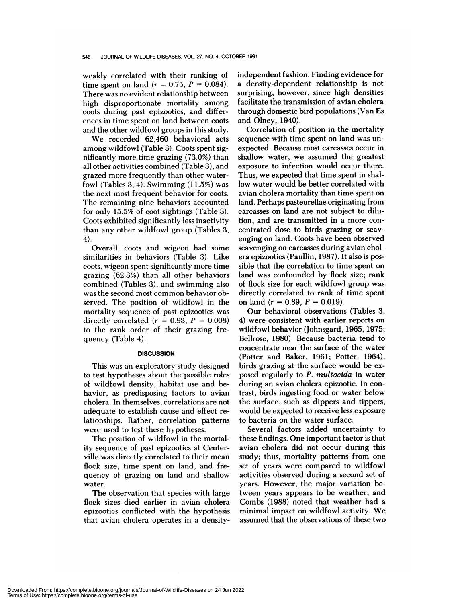weakly correlated with their ranking of time spent on land  $(r = 0.75, P = 0.084)$ . There was no evident relationship between high disproportionate mortality among coots during past epizootics, and differ ences in time spent on land between coots and the other wildfowl groups in this study.

We recorded 62,460 behavioral acts among wildfowl (Table 3). Coots spent significantly more time grazing (73.0%) than all other activities combined (Table 3), and grazed more frequently than other waterfowl (Tables 3, 4). Swimming (11.5%) was the next most frequent behavior for coots. The remaining nine behaviors accounted for only 15.5% of coot sightings (Table 3). Coots exhibited significantly less inactivity than any other wildfowl group (Tables 3, 4).

Overall, coots and wigeon had some similarities in behaviors (Table 3). Like coots, wigeon spent significantly more time grazing (62.3%) than all other behaviors combined (Tables 3), and swimming also was the second most common behavior observed. The position of wildfowl in the mortality sequence of past epizootics was directly correlated  $(r = 0.93, P = 0.008)$ to the rank order of their grazing frequency (Table 4).

#### **DISCUSSION**

This was an exploratory study designed to test hypotheses about the possible roles of wildfowl density, habitat use and behavior, as predisposing factors to avian cholera. In themselves, correlations are not adequate to establish cause and effect relationships. Rather, correlation patterns were used to test these hypotheses.

The position of wildfowl in the mortality sequence of past epizootics at Centerville was directly correlated to their mean flock size, time spent on land, and frequency of grazing on land and shallow water.

The observation that species with large flock sizes died earlier in avian cholera epizootics conflicted with the hypothesis that avian cholera operates in a density-

independent fashion. Finding evidence for a density-dependent relationship is not surprising, however, since high densities facilitate the transmission of avian cholera through domestic bird populations (Van Es and Olney, 1940).

Correlation of position in the mortality sequence with time spent on land was un expected. Because most carcasses occur in shallow water, we assumed the greatest exposure to infection would occur there. Thus, we expected that time spent in shallow water would be better correlated with avian cholera mortality than time spent on land. Perhaps pasteurellae originating from carcasses on land are not subject to dilution, and are transmitted in a more con centrated dose to birds grazing or scav enging on land. Coots have been observed scavenging on carcasses during avian chol era epizootics (Paullin, 1987). It also is possible that the correlation to time spent on land was confounded by flock size; rank of flock size for each wildfowl group was directly correlated to rank of time spent on land  $(r = 0.89, P = 0.019)$ .

Our behavioral observations (Tables 3, 4) were consistent with earlier reports on wildfowl behavior (Johnsgard, 1965, 1975; Bellrose, 1980). Because bacteria tend to concentrate near the surface of the water (Potter and Baker, 1961; Potter, 1964), birds grazing at the surface would be ex posed regularly to *P. multocida* in water during an avian cholera epizootic. In contrast, birds ingesting food or water below the surface, such as dippers and tippers, would be expected to receive less exposure to bacteria on the water surface.

Several factors added uncertainty to these findings. One important factor is that avian cholera did not occur during this study; thus, mortality patterns from one set of years were compared to wildfowl activities observed during a second set of years. However, the major variation between years appears to be weather, and Combs (1988) noted that weather had a minimal impact on wildfowl activity. We assumed that the observations of these two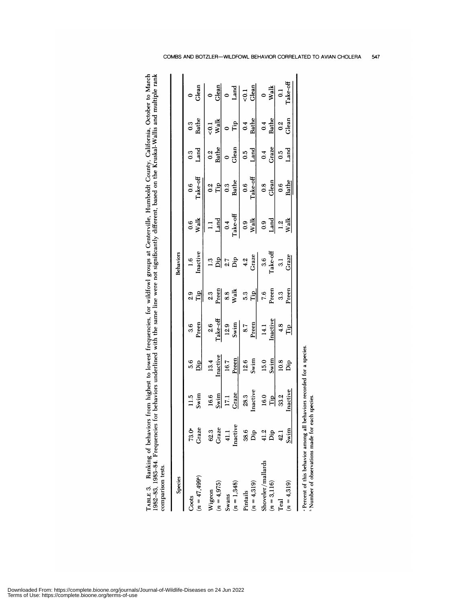| om highest to lowest frequencies, for wildfowl groups at Centerville, Humboldt County, California, October to March<br>behaviors underlined with the same line were not significantly different, based on the Kruskal-Wallis and multiple rank |   |
|------------------------------------------------------------------------------------------------------------------------------------------------------------------------------------------------------------------------------------------------|---|
|                                                                                                                                                                                                                                                |   |
|                                                                                                                                                                                                                                                |   |
|                                                                                                                                                                                                                                                |   |
|                                                                                                                                                                                                                                                |   |
|                                                                                                                                                                                                                                                |   |
| ত<br>অ                                                                                                                                                                                                                                         |   |
| $\vec{b}$<br>i<br>$\frac{1}{2}$<br>Ξ<br>RI E R<br>$82 - 8$                                                                                                                                                                                     | ś |

| Species                  |                |              |           |              |                  | Behaviors       |                          |                     |                  |                        |                    |
|--------------------------|----------------|--------------|-----------|--------------|------------------|-----------------|--------------------------|---------------------|------------------|------------------------|--------------------|
| $(n = 47, 499)$<br>Coots | Graze<br>73.0° | Swim<br>11.5 | 5.6<br>اق | Preen<br>3.6 | ΪP<br>2.9        | Inactive<br>1.6 | Walk<br>$\overline{0.6}$ | Take-off<br>0.6     | Land<br>3        | Bathe<br>$\frac{3}{2}$ | Glean              |
| Wigeon                   | 62.3           | 16.6         | 13.4      | 2.6          | 2.3              | 1.3             | $\Box$                   | 0.2                 | $\frac{2}{3}$    | $\overline{c}$         |                    |
| $(n = 4,975)$            | Graze          | Swim         | Inactive  | $Take-off$   | Preen            | $\frac{1}{2}$   | Land                     | Tip                 | <b>Bathe</b>     | Walk                   | Glean              |
| Swans                    | 41.1           | 17.1         | 16.7      | 12.9         | 8.8              |                 | 0.4                      | $\ddot{\mathrm{o}}$ | $\circ$          |                        |                    |
| $(n = 1,348)$            | Inactive       | Graze        | Preen     | Swim         | Walk             | $27$<br>Dip     | Take-off                 | <b>Bathe</b>        | Glean            | Tip                    | Land               |
| Pintails                 | 38.6           | 28.3         | 12.6      | 8.7          | 53               | 4.2             | 0.9                      | 0.6                 | $\overline{0}$   | 0.4                    | $\overline{5}$     |
| $(n = 4.319)$            | Dip            | Inactive     | Swim      | Preen        | Tip              | Graze           | $\frac{W}{2}$            | Take-off            | Land             | Bathe                  | Glean              |
| Shoveler/mallards        | 41.2           | 16.0         | 15.0      | 14.1         | 7.6              | 3.6             | $\overline{0}$ .0        | $\overline{0.8}$    | $\overline{0.4}$ | $\sim 1$               |                    |
| $(n=3,116)$              | Dip            | Tip          | Swim      | Inactive     | Preen            | $Take-off$      | Land                     | Glean               | Graze            | <b>Bathe</b>           | $W$ alk            |
| Teal                     | $^{42.1}$      | 33.2         | 10.8      | 4.8          | $3.\overline{3}$ | $\overline{3}$  | 1.2                      | 0.6                 | 0.5              | $0.\overline{2}$       | $\overline{\circ}$ |
| $(n=4,319)$              | Swim           | Inactive     | Dip       | Гiр          | Preen            | Graze           | Walk                     | Bathe               | $_{\rm Land}$    | Glean                  | rake-off           |

Downloaded From: https://complete.bioone.org/journals/Journal-of-Wildlife-Diseases on 24 Jun 2022<br>Terms of Use: https://complete.bioone.org/terms-of-use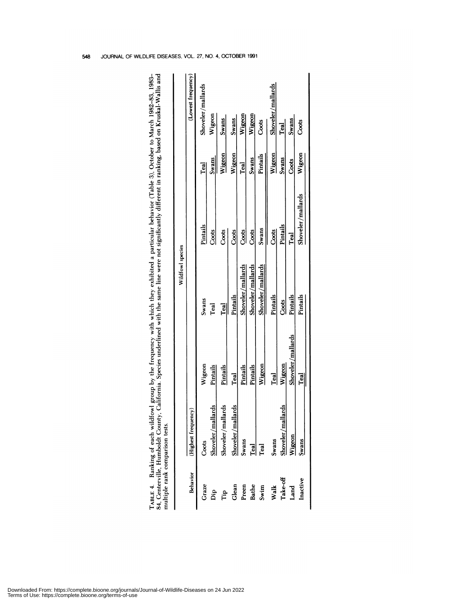| 84, Centerville, Humboldt County<br>multiple rank comparison tests. |                     |                   |                   | TABLE 4. Ranking of each wildfowl group by the frequency with which they exhibited a particular behavior (Table 3), October to March 1982-83, 1983-<br>, California. Species underlined with the same line were not significantly different in ranking, based on Kruskal-Wallis and |          |                    |
|---------------------------------------------------------------------|---------------------|-------------------|-------------------|-------------------------------------------------------------------------------------------------------------------------------------------------------------------------------------------------------------------------------------------------------------------------------------|----------|--------------------|
|                                                                     |                     |                   | Wildfowl species  |                                                                                                                                                                                                                                                                                     |          |                    |
| Behavior                                                            | (Highest frequency) |                   |                   |                                                                                                                                                                                                                                                                                     |          | (Lowest frequency) |
| Graze                                                               | Coots               | Wigeon            | Swans             | Pintails                                                                                                                                                                                                                                                                            | Teal     | Shoveler/mallards  |
| Ďр                                                                  | Shoveler/mallards   | Pintails          | Teal              | Coots                                                                                                                                                                                                                                                                               | Swans    | Wigeon             |
| Гiр                                                                 | Shoveler/mallards   | Pintails          | Teal              | Coots                                                                                                                                                                                                                                                                               | Wigeon   | <b>Swans</b>       |
| Glean                                                               | Shoveler/mallards   | Teal              | Pintails          | Coots                                                                                                                                                                                                                                                                               | Wigeon   | <b>Swans</b>       |
| Preen                                                               | Swans               | Pintails          | Shoveler/mallards | Coots                                                                                                                                                                                                                                                                               | Teal     | Wigeon             |
| Bathe                                                               | $_{\rm{real}}$      | Pintails          | Shoveler/mallards | Coots                                                                                                                                                                                                                                                                               | Swans    | Wigeon             |
| Swim                                                                | Teal                | Wigeon            | Shoveler/mallards | Swans                                                                                                                                                                                                                                                                               | Pintails | Coots              |
| Walk                                                                | Swans               | Teal              | Pintails          | Coots                                                                                                                                                                                                                                                                               | Wigeon   | Shoveler/mallards  |
| Take-off                                                            | Shoveler/mallards   | Wigeon            | Costs             | Pintails                                                                                                                                                                                                                                                                            | Swans    | Teal               |
| Land                                                                | Wigeon              | Shoveler/mallards | Pintails          | Teal                                                                                                                                                                                                                                                                                | Coots    | Swans              |
| Inactive                                                            | Swans               | Teal              | Pintails          | Shoveler/mallards                                                                                                                                                                                                                                                                   | Wigeon   | Coots              |
|                                                                     |                     |                   |                   |                                                                                                                                                                                                                                                                                     |          |                    |

JOURNAL OF WILDLIFE DISEASES, VOL. 27, NO. 4, OCTOBER 1991 548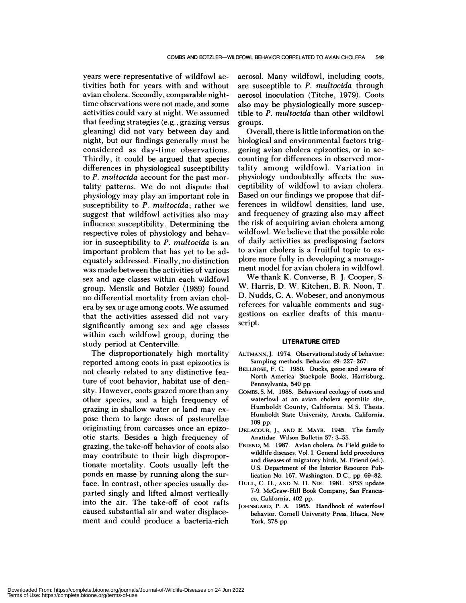years were representative of wildfowl activities both for years with and without avian cholera. Secondly, comparable nighttime observations were not made, and some activities could vary at night. We assumed that feeding strategies (e.g., grazing versus gleaning) did not vary between day and night, but our findings generally must be considered as day-time observations. Thirdly, it could be argued that species differences in physiological susceptibility to *P. multocida* account for the past mortality patterns. We do not dispute that physiology may play an important role in susceptibility to *P. multocida;* rather we suggest that wildfowl activities also may influence susceptibility. Determining the respective roles of physiology and behavior in susceptibility to *P. multocida* is an important problem that has yet to be adequately addressed. Finally, no distinction was made between the activities of various sex and age classes within each wildfowl group. Mensik and Botzler (1989) found no differential mortality from avian chol era by sex or age among coots. We assumed that the activities assessed did not vary significantly among sex and age classes within each wildfowl group, during the study period at Centerville.

The disproportionately high mortality reported among coots in past epizootics is not clearly related to any distinctive feature of coot behavior, habitat use of density. However, coots grazed more than any other species, and a high frequency of grazing in shallow water or land may ex pose them to large doses of pasteurellae originating from carcasses once an epizootic starts. Besides a high frequency of grazing, the take-off behavior of coots also may contribute to their high disproportionate mortality. Coots usually left the ponds en masse by running along the surface. In contrast, other species usually departed singly and lifted almost vertically into the air. The take-off of coot rafts caused substantial air and water displacement and could produce a bacteria-rich

aerosol. Many wildfowl, including coots, are susceptible to *P.multocida* through aerosol inoculation (Titche, 1979). Coots also may be physiologically more susceptible to *P. multocida* than other wildfowl groups.

Overall, there is little information on the biological and environmental factors triggering avian cholera epizootics, or in ac counting for differences in observed mortality among wildfowl. Variation in physiology undoubtedly affects the sus ceptibility of wildfowl to avian cholera. Based on our findings we propose that differences in wildfowl densities, land use, and frequency of grazing also may affect the risk of acquiring avian cholera among wildfowl. We believe that the possible role of daily activities as predisposing factors to avian cholera is a fruitful topic to ex plore more fully in developing a management model for avian cholera in wildfowl.

We thank K. Converse, R. J. Cooper, S. W. Harris, D. W. Kitchen, B. R. Noon, T. D. Nudds, G. A. Wobeser, and anonymous referees for valuable comments and suggestions on earlier drafts of this manu script.

#### **LITERATURE CITED**

- ALTMANN, J. 1974. Observational study of behavior: Sampling methods. Behavior 49: 227-267.
- BELLROSE, F. C. 1980. Ducks, geese and swans of North America. Stackpole Books, Harrisburg, Pennsylvania, 540 pp.
- COMBS, S. M. 1988. Behavioral ecology of coots and waterfowl at an avian cholera epornitic site, Humboldt County, California. M.S. Thesis. Humboldt State University, Arcata, California, 109 pp.
- DELACOUR, J., AND E. MAYR. 1945. The family Anatidae. Wilson Bulletin 57: 3-55.
- FRIEND, M. 1987. Avian cholera. *In* Field guide to wildlife diseases. Vol. I. General field procedures and diseases of migratory birds, M. Friend (ed). U.S. Department of the Interior Resource Publication No. 167, Washington, D.C., pp. 69-82.
- HULL, C. H., AND N. H. NIE. 1981. SPSS update 7-9. McGraw-Hill Book Company, San Francis co, California, 402 pp.
- JOHNSGARD, P. A. 1965. Handbook of waterfowl behavior. Cornell University Press, Ithaca, New York, 378 pp.